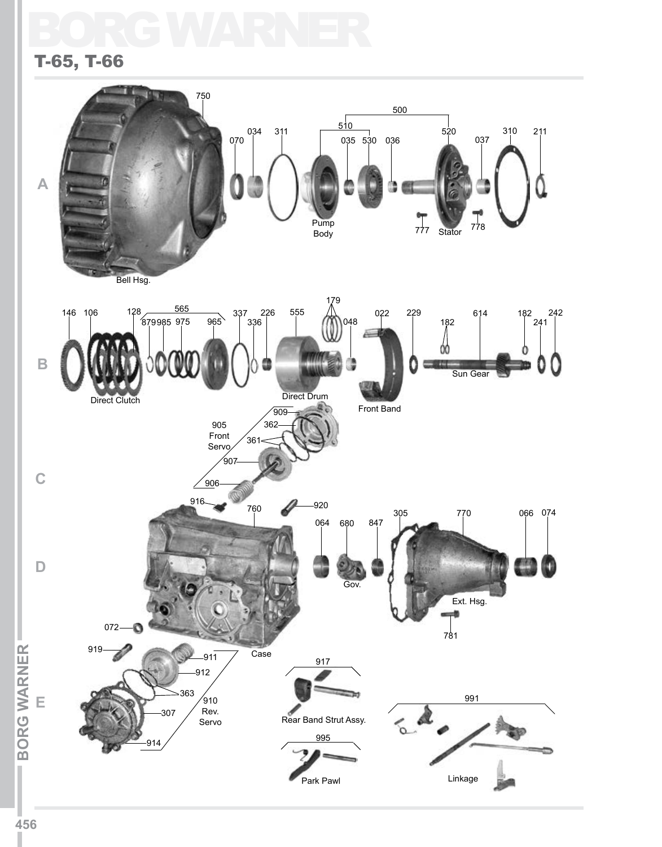# BORGWA T-65, T-66

# 750 500  $034$  311  $510$ 310 211 520 035 530 036 037 070 **A** Pump Body 777 Stator 778 Bell Hsg. 179 146 106 565 555 022 229 337 614 182 226 242 048 182 879985 975 965 336 241 **B** 御石 Sun Gear Direct Drum Direct Clutch Front Band 909 905 362 Front  $36<sup>1</sup>$ Servo ْ90 **C**  $906$  $916$   $760$   $20$  $760$   $920$   $305$   $770$  066 074 305 770 064 680 847 **D** Gov. Ext. Hsg.  $\overrightarrow{a}$ <sub>781</sub> 072 -0 **BORG WARNER BORG WARNER** 919 Case  $911$ 917 912  $363 / 910$  991 **E**  $\sqrt{910}$ Rev. 307 À Rear Band Strut Assy.  $\sim$ Servo 995 914 Park Pawl Linkage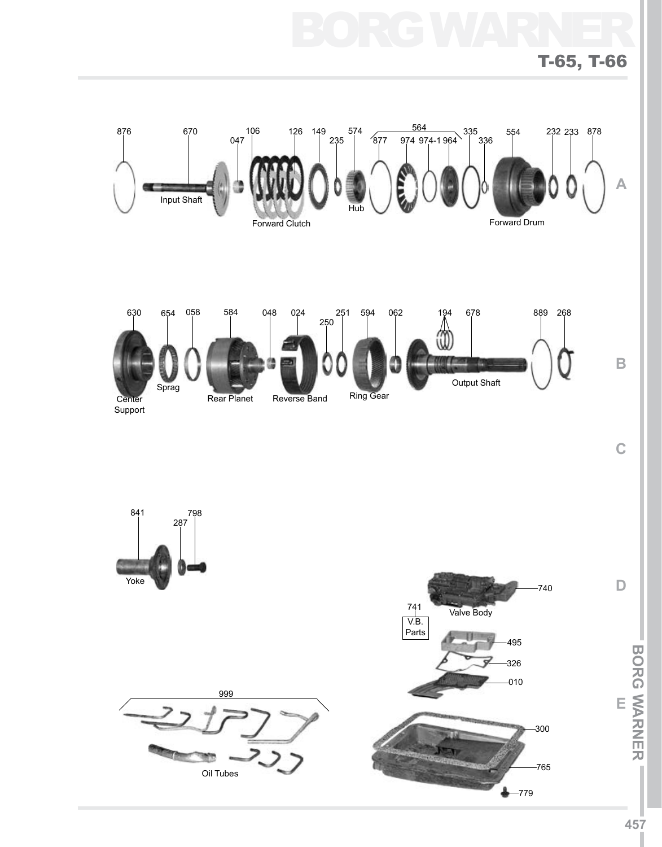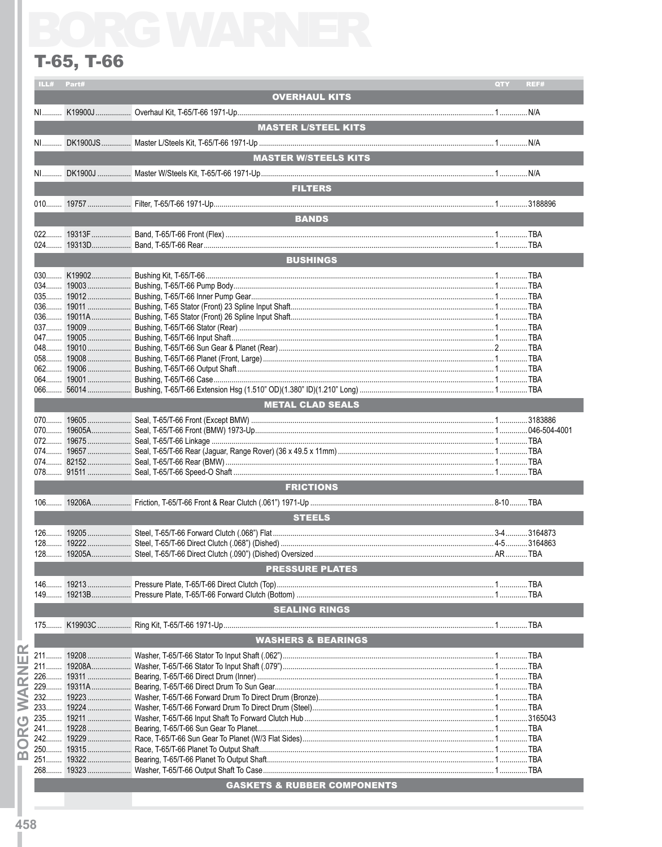|           |                               | QTY | REF# |
|-----------|-------------------------------|-----|------|
|           | <b>OVERHAUL KITS</b>          |     |      |
|           |                               |     |      |
|           |                               |     |      |
|           | <b>MASTER L/STEEL KITS</b>    |     |      |
|           |                               |     |      |
|           | <b>MASTER W/STEELS KITS</b>   |     |      |
|           |                               |     |      |
|           |                               |     |      |
|           | <b>FILTERS</b>                |     |      |
|           |                               |     |      |
|           |                               |     |      |
|           | <b>BANDS</b>                  |     |      |
|           |                               |     |      |
|           |                               |     |      |
|           | <b>BUSHINGS</b>               |     |      |
|           |                               |     |      |
|           |                               |     |      |
|           |                               |     |      |
|           |                               |     |      |
|           |                               |     |      |
|           |                               |     |      |
|           |                               |     |      |
|           |                               |     |      |
|           |                               |     |      |
|           |                               |     |      |
|           |                               |     |      |
|           |                               |     |      |
|           |                               |     |      |
|           | <b>METAL CLAD SEALS</b>       |     |      |
|           |                               |     |      |
|           |                               |     |      |
|           |                               |     |      |
|           |                               |     |      |
|           |                               |     |      |
|           |                               |     |      |
|           | <b>FRICTIONS</b>              |     |      |
|           |                               |     |      |
|           |                               |     |      |
|           | <b>STEELS</b>                 |     |      |
|           |                               |     |      |
|           |                               |     |      |
|           |                               |     |      |
|           |                               |     |      |
|           |                               |     |      |
|           | <b>PRESSURE PLATES</b>        |     |      |
|           |                               |     |      |
|           |                               |     |      |
|           |                               |     |      |
|           | <b>SEALING RINGS</b>          |     |      |
|           |                               |     |      |
|           |                               |     |      |
|           | <b>WASHERS &amp; BEARINGS</b> |     |      |
|           |                               |     |      |
|           |                               |     |      |
| 226 19311 |                               |     |      |
|           |                               |     |      |
|           |                               |     |      |
|           |                               |     |      |
|           |                               |     |      |
| 241 19228 |                               |     |      |
|           |                               |     |      |
| 250 19315 |                               |     |      |
|           |                               |     |      |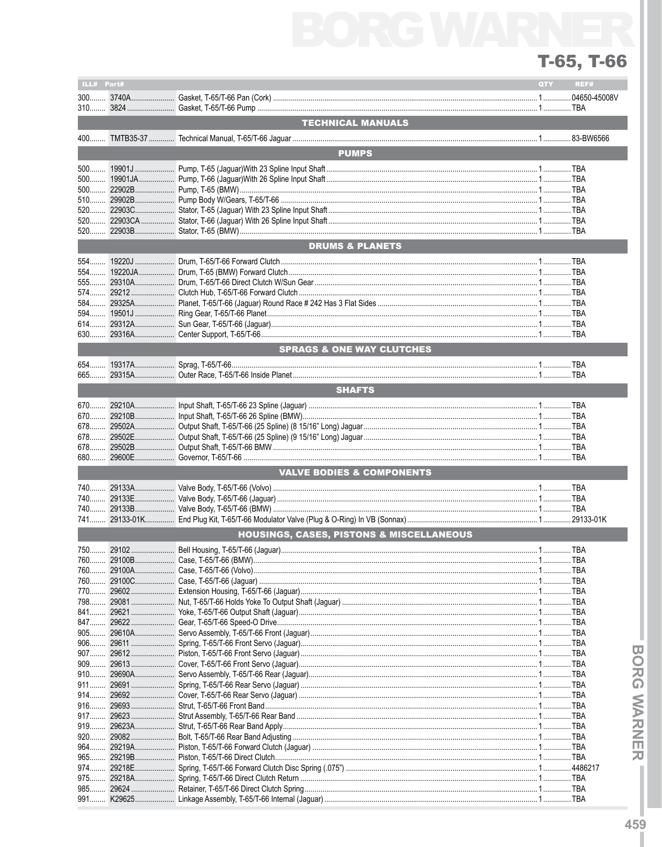| ILL# Part#     |                  |                                                     | QTY | REF# |
|----------------|------------------|-----------------------------------------------------|-----|------|
|                |                  |                                                     |     |      |
|                |                  |                                                     |     |      |
|                |                  | <b>TECHNICAL MANUALS</b>                            |     |      |
|                |                  |                                                     |     |      |
| 400            |                  |                                                     |     |      |
|                |                  | <b>PUMPS</b>                                        |     |      |
|                |                  |                                                     |     |      |
| $500$          |                  |                                                     |     |      |
| $500$          |                  |                                                     |     |      |
| 510            |                  |                                                     |     |      |
|                |                  |                                                     |     |      |
| $520$          |                  |                                                     |     |      |
|                |                  |                                                     |     |      |
|                |                  | <b>DRUMS &amp; PLANETS</b>                          |     |      |
|                |                  |                                                     |     |      |
| 554            |                  |                                                     |     |      |
|                |                  |                                                     |     |      |
| $574$          |                  |                                                     |     |      |
| $584$          |                  |                                                     |     |      |
|                |                  |                                                     |     |      |
| 614<br>630     |                  |                                                     |     |      |
|                |                  |                                                     |     |      |
|                |                  | <b>SPRAGS &amp; ONE WAY CLUTCHES</b>                |     |      |
|                |                  |                                                     |     |      |
|                |                  |                                                     |     |      |
|                |                  | <b>SHAFTS</b>                                       |     |      |
| 670            |                  |                                                     |     |      |
| 670            |                  |                                                     |     |      |
|                |                  |                                                     |     |      |
|                |                  |                                                     |     |      |
| 678            |                  |                                                     |     |      |
| 680            |                  |                                                     |     |      |
|                |                  | <b>VALVE BODIES &amp; COMPONENTS</b>                |     |      |
| $740$          |                  |                                                     |     |      |
| 740            |                  |                                                     |     |      |
|                |                  |                                                     |     |      |
| 741            |                  |                                                     |     |      |
|                |                  | <b>HOUSINGS, CASES, PISTONS &amp; MISCELLANEOUS</b> |     |      |
|                |                  |                                                     |     |      |
|                | 760 29100B       |                                                     |     |      |
| 760            | 29100A           |                                                     |     |      |
| 760            | 29100C           |                                                     |     |      |
| 770            |                  |                                                     |     |      |
|                |                  |                                                     |     |      |
| 841            | 29621            |                                                     |     |      |
| 847            | 29622            |                                                     |     |      |
| 905            | 29610A           |                                                     |     |      |
| $906$<br>$907$ | 29611            |                                                     |     |      |
| 909            | 29613            |                                                     |     |      |
| 910            | 29690A           |                                                     |     |      |
| $911$          | 29691            |                                                     |     |      |
| 914            | 29692            |                                                     |     |      |
| $916$          | 29693            |                                                     |     |      |
| 917            |                  |                                                     |     |      |
| 919            | 29623A           |                                                     |     |      |
| 920<br>964     | 29082            |                                                     |     |      |
| $965$          | 29219A<br>29219B |                                                     |     |      |
| 974            | 29218E           |                                                     |     |      |
| 975            | 29218A           |                                                     |     |      |
| 985            | 29624            |                                                     |     |      |
| 991            | K29625           |                                                     |     |      |

ı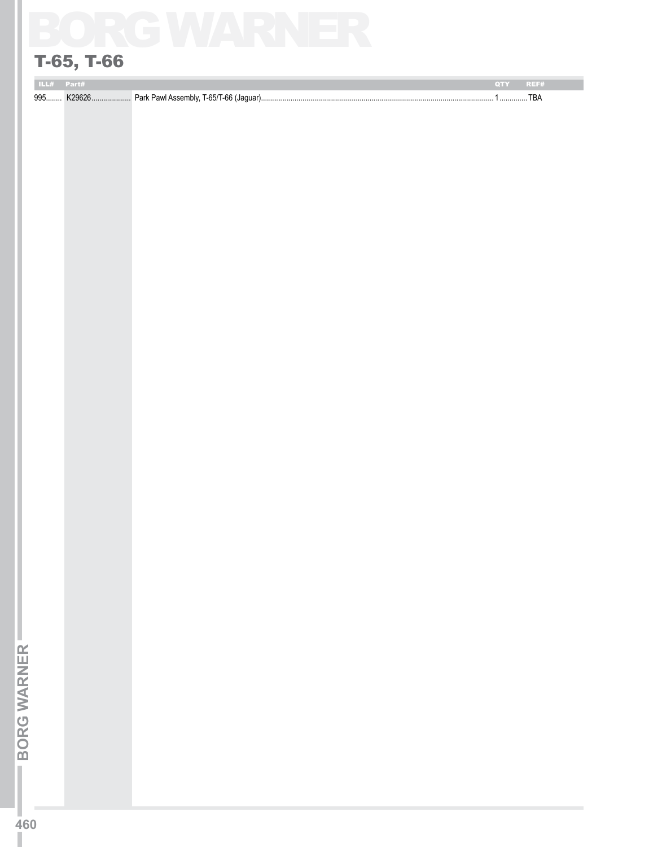# **T-65, T-66**<br>99. Warner Warner<br>2004<br>2006

# T-65, T-66

| <b>THE REAL PROPERTY</b> |   |                                                        | 0 II II I |       |
|--------------------------|---|--------------------------------------------------------|-----------|-------|
| 995                      | . | Park Pawl Assembly, T-65/T-66 (<br>(Jaquar)<br>$\cdot$ |           | 1 B A |